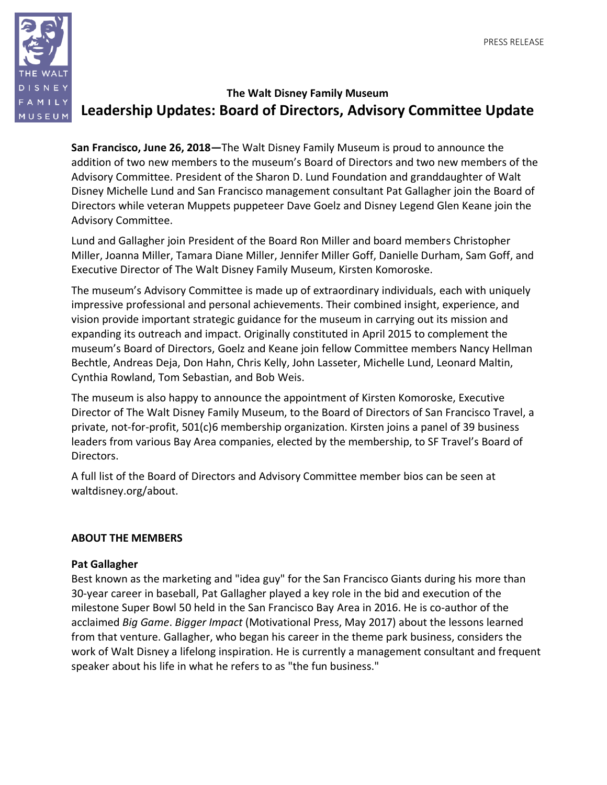

# **The Walt Disney Family Museum Leadership Updates: Board of Directors, Advisory Committee Update**

**San Francisco, June 26, 2018—**The Walt Disney Family Museum is proud to announce the addition of two new members to the museum's Board of Directors and two new members of the Advisory Committee. President of the Sharon D. Lund Foundation and granddaughter of Walt Disney Michelle Lund and San Francisco management consultant Pat Gallagher join the Board of Directors while veteran Muppets puppeteer Dave Goelz and Disney Legend Glen Keane join the Advisory Committee.

Lund and Gallagher join President of the Board Ron Miller and board members Christopher Miller, Joanna Miller, Tamara Diane Miller, Jennifer Miller Goff, Danielle Durham, Sam Goff, and Executive Director of The Walt Disney Family Museum, Kirsten Komoroske.

The museum's Advisory Committee is made up of extraordinary individuals, each with uniquely impressive professional and personal achievements. Their combined insight, experience, and vision provide important strategic guidance for the museum in carrying out its mission and expanding its outreach and impact. Originally constituted in April 2015 to complement the museum's Board of Directors, Goelz and Keane join fellow Committee members Nancy Hellman Bechtle, Andreas Deja, Don Hahn, Chris Kelly, John Lasseter, Michelle Lund, Leonard Maltin, Cynthia Rowland, Tom Sebastian, and Bob Weis.

The museum is also happy to announce the appointment of Kirsten Komoroske, Executive Director of The Walt Disney Family Museum, to the Board of Directors of San Francisco Travel, a private, not-for-profit, 501(c)6 membership organization. Kirsten joins a panel of 39 business leaders from various Bay Area companies, elected by the membership, to SF Travel's Board of Directors.

A full list of the Board of Directors and Advisory Committee member bios can be seen at waltdisney.org/about.

## **ABOUT THE MEMBERS**

### **Pat Gallagher**

Best known as the marketing and "idea guy" for the San Francisco Giants during his more than 30-year career in baseball, Pat Gallagher played a key role in the bid and execution of the milestone Super Bowl 50 held in the San Francisco Bay Area in 2016. He is co-author of the acclaimed *Big Game*. *Bigger Impact* (Motivational Press, May 2017) about the lessons learned from that venture. Gallagher, who began his career in the theme park business, considers the work of Walt Disney a lifelong inspiration. He is currently a management consultant and frequent speaker about his life in what he refers to as "the fun business."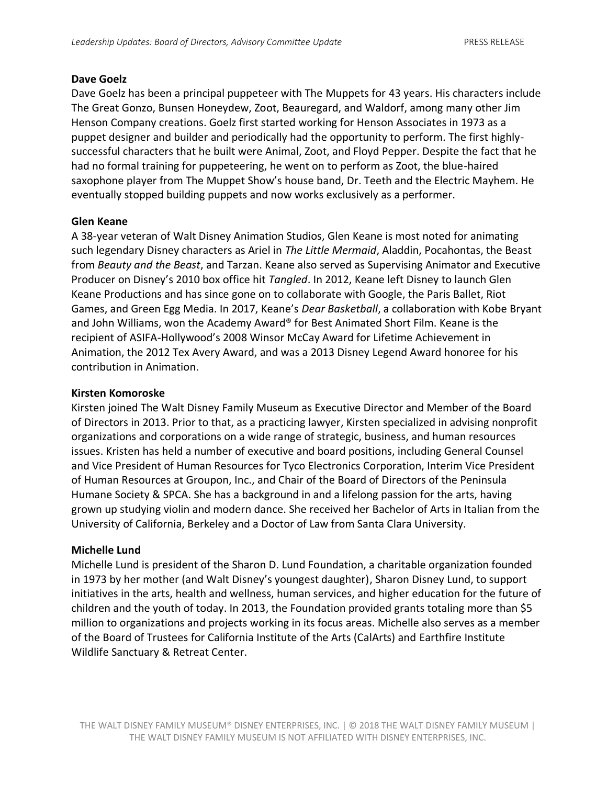### **Dave Goelz**

Dave Goelz has been a principal puppeteer with The Muppets for 43 years. His characters include The Great Gonzo, Bunsen Honeydew, Zoot, Beauregard, and Waldorf, among many other Jim Henson Company creations. Goelz first started working for Henson Associates in 1973 as a puppet designer and builder and periodically had the opportunity to perform. The first highlysuccessful characters that he built were Animal, Zoot, and Floyd Pepper. Despite the fact that he had no formal training for puppeteering, he went on to perform as Zoot, the blue-haired saxophone player from The Muppet Show's house band, Dr. Teeth and the Electric Mayhem. He eventually stopped building puppets and now works exclusively as a performer.

### **Glen Keane**

A 38-year veteran of Walt Disney Animation Studios, Glen Keane is most noted for animating such legendary Disney characters as Ariel in *The Little Mermaid*, Aladdin, Pocahontas, the Beast from *Beauty and the Beast*, and Tarzan. Keane also served as Supervising Animator and Executive Producer on Disney's 2010 box office hit *Tangled*. In 2012, Keane left Disney to launch Glen Keane Productions and has since gone on to collaborate with Google, the Paris Ballet, Riot Games, and Green Egg Media. In 2017, Keane's *Dear Basketball*, a collaboration with Kobe Bryant and John Williams, won the Academy Award® for Best Animated Short Film. Keane is the recipient of ASIFA-Hollywood's 2008 Winsor McCay Award for Lifetime Achievement in Animation, the 2012 Tex Avery Award, and was a 2013 Disney Legend Award honoree for his contribution in Animation.

### **Kirsten Komoroske**

Kirsten joined The Walt Disney Family Museum as Executive Director and Member of the Board of Directors in 2013. Prior to that, as a practicing lawyer, Kirsten specialized in advising nonprofit organizations and corporations on a wide range of strategic, business, and human resources issues. Kristen has held a number of executive and board positions, including General Counsel and Vice President of Human Resources for Tyco Electronics Corporation, Interim Vice President of Human Resources at Groupon, Inc., and Chair of the Board of Directors of the Peninsula Humane Society & SPCA. She has a background in and a lifelong passion for the arts, having grown up studying violin and modern dance. She received her Bachelor of Arts in Italian from the University of California, Berkeley and a Doctor of Law from Santa Clara University.

### **Michelle Lund**

Michelle Lund is president of the Sharon D. Lund Foundation, a charitable organization founded in 1973 by her mother (and Walt Disney's youngest daughter), Sharon Disney Lund, to support initiatives in the arts, health and wellness, human services, and higher education for the future of children and the youth of today. In 2013, the Foundation provided grants totaling more than \$5 million to organizations and projects working in its focus areas. Michelle also serves as a member of the Board of Trustees for California Institute of the Arts (CalArts) and Earthfire Institute Wildlife Sanctuary & Retreat Center.